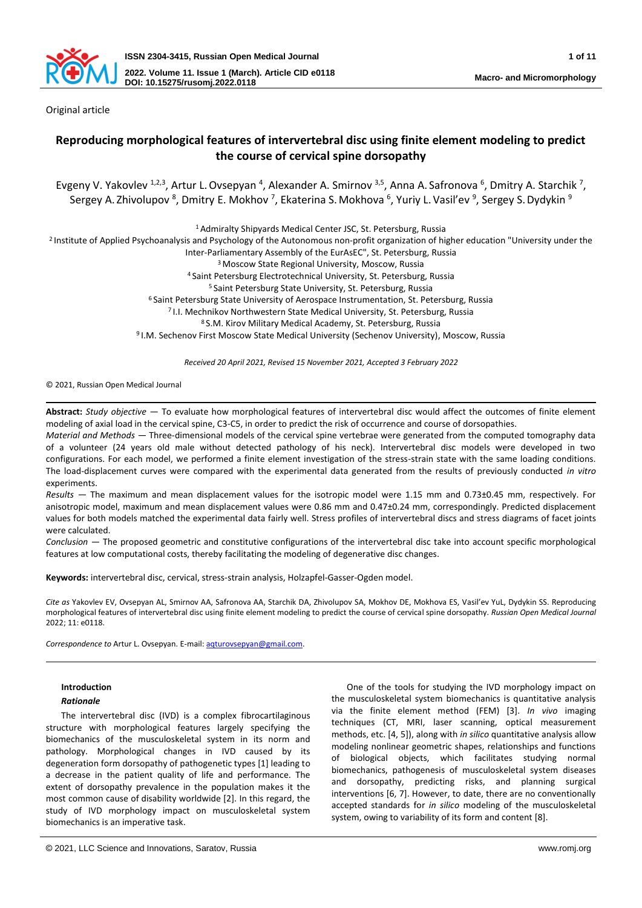

Original article

# **Reproducing morphological features of intervertebral disc using finite element modeling to predict the course of cervical spine dorsopathy**

Evgeny V. Yakovlev <sup>1,2,3</sup>, Artur L. Ovsepyan <sup>4</sup>, Alexander A. Smirnov <sup>3,5</sup>, Anna A. Safronova <sup>6</sup>, Dmitry A. Starchik <sup>7</sup>, Sergey A. Zhivolupov <sup>8</sup>, Dmitry E. Mokhov <sup>7</sup>, Ekaterina S. Mokhova <sup>6</sup>, Yuriy L. Vasil'ev <sup>9</sup>, Sergey S. Dydykin <sup>s</sup>

<sup>1</sup> Admiralty Shipyards Medical Center JSC, St. Petersburg, Russia

<sup>2</sup> Institute of Applied Psychoanalysis and Psychology of the Autonomous non-profit organization of higher education "University under the

Inter-Parliamentary Assembly of the EurAsEC", St. Petersburg, Russia

<sup>3</sup> Moscow State Regional University, Moscow, Russia

<sup>4</sup> Saint Petersburg Electrotechnical University, St. Petersburg, Russia

<sup>5</sup>Saint Petersburg State University, St. Petersburg, Russia

<sup>6</sup> Saint Petersburg State University of Aerospace Instrumentation, St. Petersburg, Russia

<sup>7</sup>I.I. Mechnikov Northwestern State Medical University, St. Petersburg, Russia

<sup>8</sup>S.M. Kirov Military Medical Academy, St. Petersburg, Russia

<sup>9</sup>I.M. Sechenov First Moscow State Medical University (Sechenov University), Moscow, Russia

*Received 20 April 2021, Revised 15 November 2021, Accepted 3 February 2022*

© 2021, Russian Open Medical Journal

**Abstract:** *Study objective —* To evaluate how morphological features of intervertebral disc would affect the outcomes of finite element modeling of axial load in the cervical spine, C3-C5, in order to predict the risk of occurrence and course of dorsopathies.

*Material and Methods —* Three-dimensional models of the cervical spine vertebrae were generated from the computed tomography data of a volunteer (24 years old male without detected pathology of his neck). Intervertebral disc models were developed in two configurations. For each model, we performed a finite element investigation of the stress-strain state with the same loading conditions. The load-displacement curves were compared with the experimental data generated from the results of previously conducted *in vitro* experiments.

*Results —* The maximum and mean displacement values for the isotropic model were 1.15 mm and 0.73±0.45 mm, respectively. For anisotropic model, maximum and mean displacement values were 0.86 mm and 0.47±0.24 mm, correspondingly. Predicted displacement values for both models matched the experimental data fairly well. Stress profiles of intervertebral discs and stress diagrams of facet joints were calculated.

*Conclusion —* The proposed geometric and constitutive configurations of the intervertebral disc take into account specific morphological features at low computational costs, thereby facilitating the modeling of degenerative disc changes.

**Keywords:** intervertebral disc, cervical, stress-strain analysis, Holzapfel-Gasser-Ogden model.

*Cite as* Yakovlev EV, Ovsepyan AL, Smirnov AA, Safronova AA, Starchik DA, Zhivolupov SA, Mokhov DE, Mokhova ES, Vasil'ev YuL, Dydykin SS. Reproducing morphological features of intervertebral disc using finite element modeling to predict the course of cervical spine dorsopathy. *Russian Open Medical Journal* 2022; 11: e0118.

*Correspondence to* Artur L. Ovsepyan. E-mail[: aqturovsepyan@gmail.com.](mailto:aqturovsepyan@gmail.com) 

# **Introduction**

# *Rationale*

The intervertebral disc (IVD) is a complex fibrocartilaginous structure with morphological features largely specifying the biomechanics of the musculoskeletal system in its norm and pathology. Morphological changes in IVD caused by its degeneration form dorsopathy of pathogenetic types [1] leading to a decrease in the patient quality of life and performance. The extent of dorsopathy prevalence in the population makes it the most common cause of disability worldwide [2]. In this regard, the study of IVD morphology impact on musculoskeletal system biomechanics is an imperative task.

One of the tools for studying the IVD morphology impact on the musculoskeletal system biomechanics is quantitative analysis via the finite element method (FEM) [3]. *In vivo* imaging techniques (CT, MRI, laser scanning, optical measurement methods, etc. [4, 5]), along with *in silico* quantitative analysis allow modeling nonlinear geometric shapes, relationships and functions of biological objects, which facilitates studying normal biomechanics, pathogenesis of musculoskeletal system diseases and dorsopathy, predicting risks, and planning surgical interventions [6, 7]. However, to date, there are no conventionally accepted standards for *in silico* modeling of the musculoskeletal system, owing to variability of its form and content [8].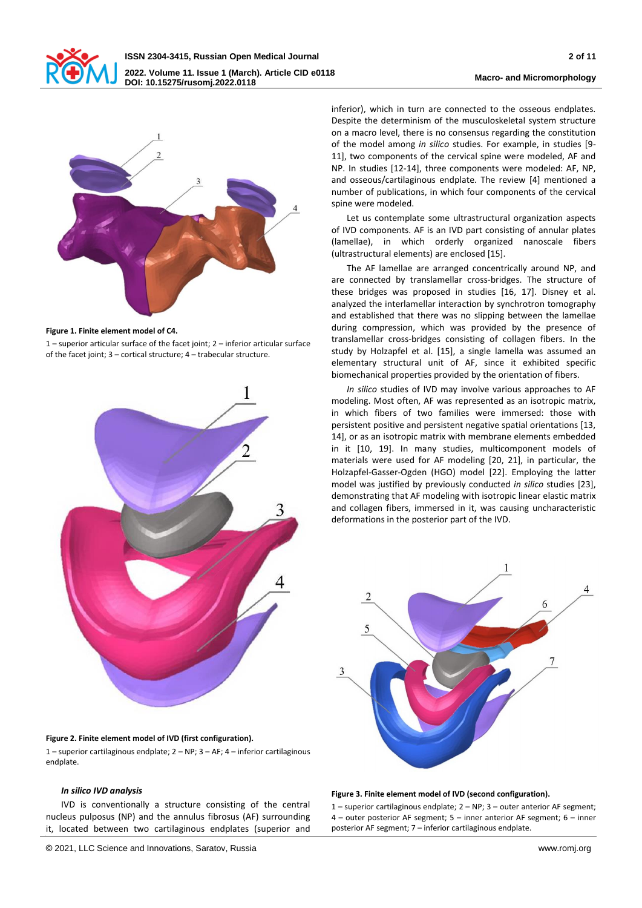



#### **Figure 1. Finite element model of C4.**

1 – superior articular surface of the facet joint; 2 – inferior articular surface of the facet joint; 3 – cortical structure; 4 – trabecular structure.



# **Figure 2. Finite element model of IVD (first configuration).**

1 – superior cartilaginous endplate; 2 – NP; 3 – AF; 4 – inferior cartilaginous endplate.

#### *In silico IVD analysis*

IVD is conventionally a structure consisting of the central nucleus pulposus (NP) and the annulus fibrosus (AF) surrounding it, located between two cartilaginous endplates (superior and

inferior), which in turn are connected to the osseous endplates. Despite the determinism of the musculoskeletal system structure on a macro level, there is no consensus regarding the constitution of the model among *in silico* studies. For example, in studies [9- 11], two components of the cervical spine were modeled, AF and NP. In studies [12-14], three components were modeled: AF, NP, and osseous/cartilaginous endplate. The review [4] mentioned a number of publications, in which four components of the cervical spine were modeled.

Let us contemplate some ultrastructural organization aspects of IVD components. AF is an IVD part consisting of annular plates (lamellae), in which orderly organized nanoscale fibers (ultrastructural elements) are enclosed [15].

The AF lamellae are arranged concentrically around NP, and are connected by translamellar cross-bridges. The structure of these bridges was proposed in studies [16, 17]. Disney et al. analyzed the interlamellar interaction by synchrotron tomography and established that there was no slipping between the lamellae during compression, which was provided by the presence of translamellar cross-bridges consisting of collagen fibers. In the study by Holzapfel et al. [15], a single lamella was assumed an elementary structural unit of AF, since it exhibited specific biomechanical properties provided by the orientation of fibers.

*In silico* studies of IVD may involve various approaches to AF modeling. Most often, AF was represented as an isotropic matrix, in which fibers of two families were immersed: those with persistent positive and persistent negative spatial orientations [13, 14], or as an isotropic matrix with membrane elements embedded in it [10, 19]. In many studies, multicomponent models of materials were used for AF modeling [20, 21], in particular, the Holzapfel-Gasser-Ogden (HGO) model [22]. Employing the latter model was justified by previously conducted *in silico* studies [23], demonstrating that AF modeling with isotropic linear elastic matrix and collagen fibers, immersed in it, was causing uncharacteristic deformations in the posterior part of the IVD.



#### **Figure 3. Finite element model of IVD (second configuration).**

1 – superior cartilaginous endplate; 2 – NP; 3 – outer anterior AF segment; 4 – outer posterior AF segment; 5 – inner anterior AF segment; 6 – inner posterior AF segment; 7 – inferior cartilaginous endplate.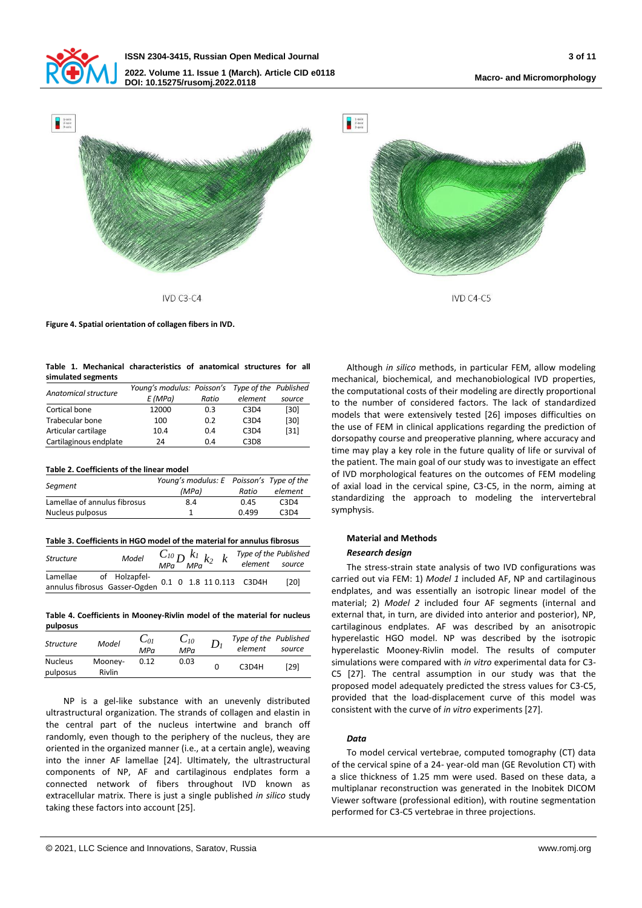



 $IVD C3-C4$ 

**Figure 4. Spatial orientation of collagen fibers in IVD.**

|  |                    | Table 1. Mechanical characteristics of anatomical structures for all |  |  |  |
|--|--------------------|----------------------------------------------------------------------|--|--|--|
|  | simulated segments |                                                                      |  |  |  |

| Anatomical structure   | Young's modulus: Poisson's Type of the Published |       |         |        |
|------------------------|--------------------------------------------------|-------|---------|--------|
|                        | E(MPa)                                           | Ratio | element | source |
| Cortical bone          | 12000                                            | 0.3   | C3D4    | $[30]$ |
| Trabecular bone        | 100                                              | 0.2   | C3D4    | $[30]$ |
| Articular cartilage    | 10.4                                             | 0.4   | C3D4    | $[31]$ |
| Cartilaginous endplate | 24                                               | 0.4   | C3D8    |        |

### **Table 2. Coefficients of the linear model**

|                              | Young's modulus: E Poisson's Type of the |       |         |  |
|------------------------------|------------------------------------------|-------|---------|--|
| Segment                      | (MPa)                                    | Ratio | element |  |
| Lamellae of annulus fibrosus | 8.4                                      | 0.45  | C3D4    |  |
| Nucleus pulposus             |                                          | 0.499 | C3D4    |  |

| Structure                                 | Model                                     | $\frac{C_{I0}}{\mathsf{MPa}}D\frac{k_I}{\mathsf{MPa}}k_2\ \ \ k$ |  |  | Type of the Published<br>element source |      |
|-------------------------------------------|-------------------------------------------|------------------------------------------------------------------|--|--|-----------------------------------------|------|
| Lamellae<br>annulus fibrosus Gasser-Ogden | of Holzapfel-<br>0.1 0 1.8 11 0.113 C3D4H |                                                                  |  |  |                                         | [20] |

**Table 4. Coefficients in Mooney-Rivlin model of the material for nucleus pulposus**

| .                          |                   |                 |                 |       |                                  |        |
|----------------------------|-------------------|-----------------|-----------------|-------|----------------------------------|--------|
| <b>Structure</b>           | Model             | $C_{0I}$<br>MPa | $C_{10}$<br>MPa | $D_i$ | Type of the Published<br>element | source |
| <b>Nucleus</b><br>pulposus | Mooney-<br>Rivlin | 0.12            | 0.03            |       | C3D4H                            | [29]   |

NP is a gel-like substance with an unevenly distributed ultrastructural organization. The strands of collagen and elastin in the central part of the nucleus intertwine and branch off randomly, even though to the periphery of the nucleus, they are oriented in the organized manner (i.e., at a certain angle), weaving into the inner AF lamellae [24]. Ultimately, the ultrastructural components of NP, AF and cartilaginous endplates form a connected network of fibers throughout IVD known as extracellular matrix. There is just a single published *in silico* study taking these factors into account [25].

Although *in silico* methods, in particular FEM, allow modeling mechanical, biochemical, and mechanobiological IVD properties, the computational costs of their modeling are directly proportional to the number of considered factors. The lack of standardized models that were extensively tested [26] imposes difficulties on the use of FEM in clinical applications regarding the prediction of dorsopathy course and preoperative planning, where accuracy and time may play a key role in the future quality of life or survival of the patient. The main goal of our study was to investigate an effect of IVD morphological features on the outcomes of FEM modeling of axial load in the cervical spine, C3-C5, in the norm, aiming at standardizing the approach to modeling the intervertebral symphysis.

 $IVD CA-C5$ 

## **Material and Methods**

### *Research design*

The stress-strain state analysis of two IVD configurations was carried out via FEM: 1) *Model 1* included AF, NP and cartilaginous endplates, and was essentially an isotropic linear model of the material; 2) *Model 2* included four AF segments (internal and external that, in turn, are divided into anterior and posterior), NP, cartilaginous endplates. AF was described by an anisotropic hyperelastic HGO model. NP was described by the isotropic hyperelastic Mooney-Rivlin model. The results of computer simulations were compared with *in vitro* experimental data for C3- C5 [27]. The central assumption in our study was that the proposed model adequately predicted the stress values for C3-C5, provided that the load-displacement curve of this model was consistent with the curve of *in vitro* experiments [27].

# *Data*

To model cervical vertebrae, computed tomography (CT) data of the cervical spine of a 24- year-old man (GE Revolution CT) with a slice thickness of 1.25 mm were used. Based on these data, a multiplanar reconstruction was generated in the Inobitek DICOM Viewer software (professional edition), with routine segmentation performed for C3-C5 vertebrae in three projections.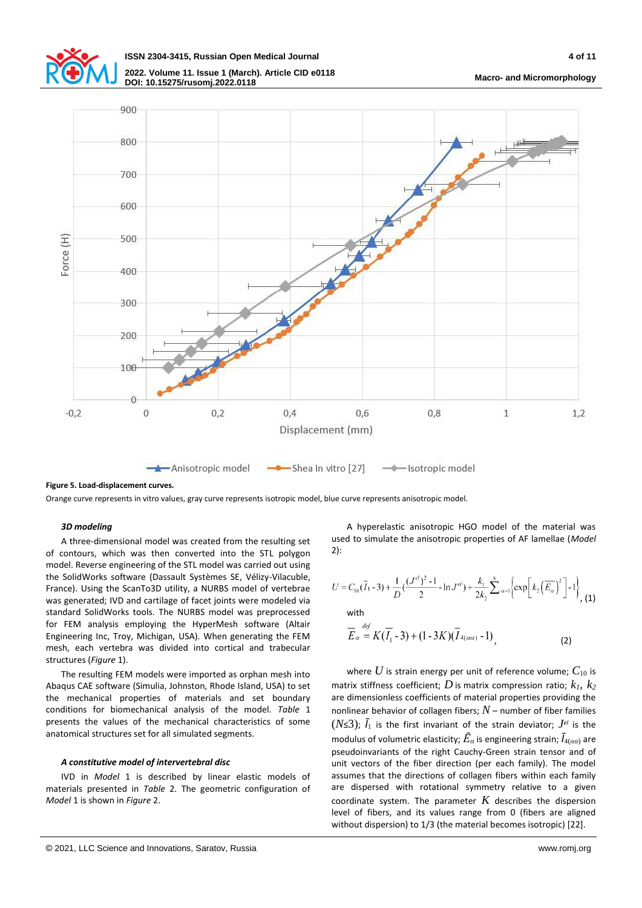



**Figure 5. Load-displacement curves.**

Orange curve represents in vitro values, gray curve represents isotropic model, blue curve represents anisotropic model.

### *3D modeling*

A three-dimensional model was created from the resulting set of contours, which was then converted into the STL polygon model. Reverse engineering of the STL model was carried out using the SolidWorks software (Dassault Systèmes SE, Vélizy-Vilacuble, France). Using the ScanTo3D utility, a NURBS model of vertebrae was generated; IVD and cartilage of facet joints were modeled via standard SolidWorks tools. The NURBS model was preprocessed for FEM analysis employing the HyperMesh software (Altair Engineering Inc, Troy, Michigan, USA). When generating the FEM mesh, each vertebra was divided into cortical and trabecular structures (*Figure* 1).

The resulting FEM models were imported as orphan mesh into Abaqus CAE software (Simulia, Johnston, Rhode Island, USA) to set the mechanical properties of materials and set boundary conditions for biomechanical analysis of the model. *Table* 1 presents the values of the mechanical characteristics of some anatomical structures set for all simulated segments.

## *A constitutive model of intervertebral disc*

IVD in *Model* 1 is described by linear elastic models of materials presented in *Table* 2. The geometric configuration of *Model* 1 is shown in *Figure* 2.

A hyperelastic anisotropic HGO model of the material was used to simulate the anisotropic properties of AF lamellae (*Model*  2):

$$
U = C_{10}(\overline{I}_1 - 3) + \frac{1}{D} \left( \frac{(J^{el})^2 - 1}{2} - \ln J^{el} \right) + \frac{k_1}{2k_2} \sum_{\alpha=1}^{N} \left\{ \exp\left[ k_2 \left( \overline{E}_{\alpha} \right)^2 \right] - 1 \right\}, \tag{1}
$$
  
with  

$$
\overline{E}_{\alpha} = K(\overline{I}_1 - 3) + (1 - 3K)(\overline{I}_{4(\alpha\alpha)} - 1), \tag{2}
$$

where  $U$  is strain energy per unit of reference volume;  $C_{10}$  is matrix stiffness coefficient; *D* is matrix compression ratio; *k1, k<sup>2</sup>* are dimensionless coefficients of material properties providing the nonlinear behavior of collagen fibers;  $N$  – number of fiber families  $(N \leq 3)$ ;  $\bar{I}_1$  is the first invariant of the strain deviator;  $J^{e}$  is the modulus of volumetric elasticity; *Ē<sup>α</sup>* is engineering strain; *Ī*4(*αα*) are pseudoinvariants of the right Cauchy-Green strain tensor and of unit vectors of the fiber direction (per each family). The model assumes that the directions of collagen fibers within each family are dispersed with rotational symmetry relative to a given coordinate system. The parameter  $K$  describes the dispersion level of fibers, and its values range from 0 (fibers are aligned without dispersion) to 1/3 (the material becomes isotropic) [22].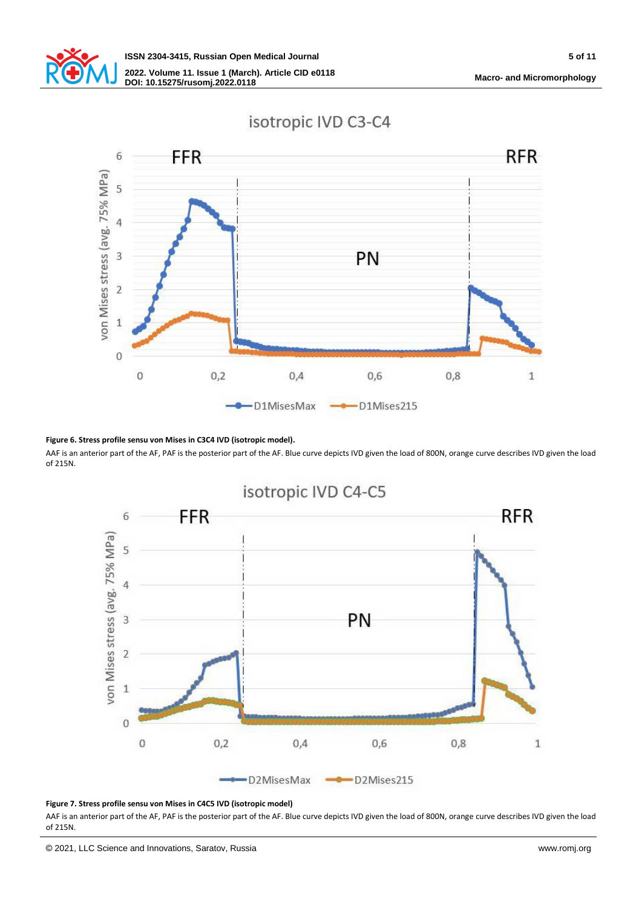

# isotropic IVD C3-C4



### **Figure 6. Stress profile sensu von Mises in C3C4 IVD (isotropic model).**

AAF is an anterior part of the AF, PAF is the posterior part of the AF. Blue curve depicts IVD given the load of 800N, orange curve describes IVD given the load of 215N.



# **Figure 7. Stress profile sensu von Mises in C4C5 IVD (isotropic model)**

AAF is an anterior part of the AF, PAF is the posterior part of the AF. Blue curve depicts IVD given the load of 800N, orange curve describes IVD given the load of 215N.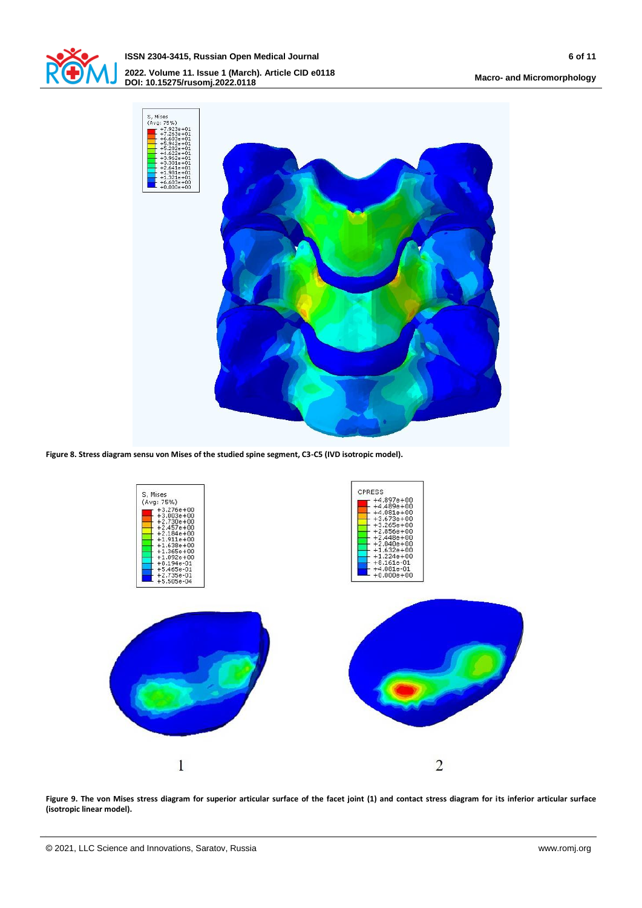

**ISSN 2304-3415, Russian Open Medical Journal 6 of 11 2022. Volume 11. Issue 1 (March). Article CID e0118 DOI: 10.15275/rusomj.2022.0118 Macro- and Micromorphology**



**Figure 8. Stress diagram sensu von Mises of the studied spine segment, C3-C5 (IVD isotropic model).**



**Figure 9. The von Mises stress diagram for superior articular surface of the facet joint (1) and contact stress diagram for its inferior articular surface (isotropic linear model).**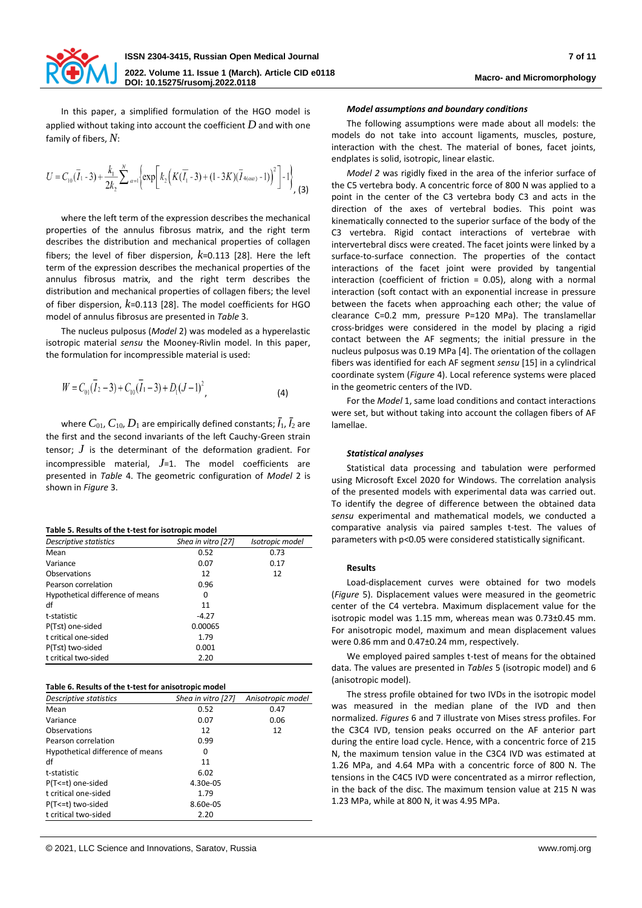

In this paper, a simplified formulation of the HGO model is applied without taking into account the coefficient *D* and with one family of fibers, *N*:

$$
U = C_{10}(\overline{I}_1 - 3) + \frac{k_1}{2k_2} \sum_{\alpha=1}^N \left\{ \exp\left[k_2\left(K(\overline{I}_1 - 3) + (1 - 3K)(\overline{I}_{4(\alpha\alpha)} - 1)\right)^2\right] - 1\right\},
$$
 (3)

where the left term of the expression describes the mechanical properties of the annulus fibrosus matrix, and the right term describes the distribution and mechanical properties of collagen fibers; the level of fiber dispersion, *k*=0.113 [28]. Here the left term of the expression describes the mechanical properties of the annulus fibrosus matrix, and the right term describes the distribution and mechanical properties of collagen fibers; the level of fiber dispersion, *k*=0.113 [28]. The model coefficients for HGO model of annulus fibrosus are presented in *Table* 3.

The nucleus pulposus (*Model* 2) was modeled as a hyperelastic isotropic material *sensu* the Mooney-Rivlin model. In this paper, the formulation for incompressible material is used:

$$
W = C_{01}(\overline{I}_2 - 3) + C_{10}(\overline{I}_1 - 3) + D_1(J - 1)^2, \tag{4}
$$

where  $C_{01}$ ,  $C_{10}$ ,  $D_1$  are empirically defined constants;  $\bar{I}_1$ ,  $\bar{I}_2$  are the first and the second invariants of the left Cauchy-Green strain tensor; *J* is the determinant of the deformation gradient. For incompressible material, *J*=1. The model coefficients are presented in *Table* 4. The geometric configuration of *Model* 2 is shown in *Figure* 3.

**Table 5. Results of the t-test for isotropic model**

| Descriptive statistics           | Shea in vitro [27] | Isotropic model |  |  |
|----------------------------------|--------------------|-----------------|--|--|
| Mean                             | 0.52               | 0.73            |  |  |
| Variance                         | 0.07               | 0.17            |  |  |
| Observations                     | 12                 | 12              |  |  |
| Pearson correlation              | 0.96               |                 |  |  |
| Hypothetical difference of means | 0                  |                 |  |  |
| df                               | 11                 |                 |  |  |
| t-statistic                      | $-4.27$            |                 |  |  |
| P(T≤t) one-sided                 | 0.00065            |                 |  |  |
| t critical one-sided             | 1.79               |                 |  |  |
| P(T≤t) two-sided                 | 0.001              |                 |  |  |
| t critical two-sided             | 2.20               |                 |  |  |

|  |  | Table 6. Results of the t-test for anisotropic model |
|--|--|------------------------------------------------------|
|  |  |                                                      |

| Descriptive statistics           | Shea in vitro [27] | Anisotropic model |
|----------------------------------|--------------------|-------------------|
| Mean                             | 0.52               | 0.47              |
| Variance                         | 0.07               | 0.06              |
| Observations                     | 12                 | 12                |
| Pearson correlation              | 0.99               |                   |
| Hypothetical difference of means | 0                  |                   |
| df                               | 11                 |                   |
| t-statistic                      | 6.02               |                   |
| P(T<=t) one-sided                | 4.30e-05           |                   |
| t critical one-sided             | 1.79               |                   |
| P(T<=t) two-sided                | 8.60e-05           |                   |
| t critical two-sided             | 2.20               |                   |

#### *Model assumptions and boundary conditions*

The following assumptions were made about all models: the models do not take into account ligaments, muscles, posture, interaction with the chest. The material of bones, facet joints, endplates is solid, isotropic, linear elastic.

*Model 2* was rigidly fixed in the area of the inferior surface of the C5 vertebra body. A concentric force of 800 N was applied to a point in the center of the C3 vertebra body C3 and acts in the direction of the axes of vertebral bodies. This point was kinematically connected to the superior surface of the body of the C3 vertebra. Rigid contact interactions of vertebrae with intervertebral discs were created. The facet joints were linked by a surface-to-surface connection. The properties of the contact interactions of the facet joint were provided by tangential interaction (coefficient of friction = 0.05), along with a normal interaction (soft contact with an exponential increase in pressure between the facets when approaching each other; the value of clearance C=0.2 mm, pressure P=120 MPa). The translamellar cross-bridges were considered in the model by placing a rigid contact between the AF segments; the initial pressure in the nucleus pulposus was 0.19 MPa [4]. The orientation of the collagen fibers was identified for each AF segment *sensu* [15] in a cylindrical coordinate system (*Figure* 4). Local reference systems were placed in the geometric centers of the IVD.

For the *Model* 1, same load conditions and contact interactions were set, but without taking into account the collagen fibers of AF lamellae.

## *Statistical analyses*

Statistical data processing and tabulation were performed using Microsoft Excel 2020 for Windows. The correlation analysis of the presented models with experimental data was carried out. To identify the degree of difference between the obtained data *sensu* experimental and mathematical models, we conducted a comparative analysis via paired samples t-test. The values of parameters with p<0.05 were considered statistically significant.

### **Results**

Load-displacement curves were obtained for two models (*Figure* 5). Displacement values were measured in the geometric center of the C4 vertebra. Maximum displacement value for the isotropic model was 1.15 mm, whereas mean was 0.73±0.45 mm. For anisotropic model, maximum and mean displacement values were 0.86 mm and 0.47±0.24 mm, respectively.

We employed paired samples t-test of means for the obtained data. The values are presented in *Tables* 5 (isotropic model) and 6 (anisotropic model).

The stress profile obtained for two IVDs in the isotropic model was measured in the median plane of the IVD and then normalized. *Figures* 6 and 7 illustrate von Mises stress profiles. For the C3C4 IVD, tension peaks occurred on the AF anterior part during the entire load cycle. Hence, with a concentric force of 215 N, the maximum tension value in the C3C4 IVD was estimated at 1.26 MPa, and 4.64 MPa with a concentric force of 800 N. The tensions in the C4C5 IVD were concentrated as a mirror reflection, in the back of the disc. The maximum tension value at 215 N was 1.23 MPa, while at 800 N, it was 4.95 MPa.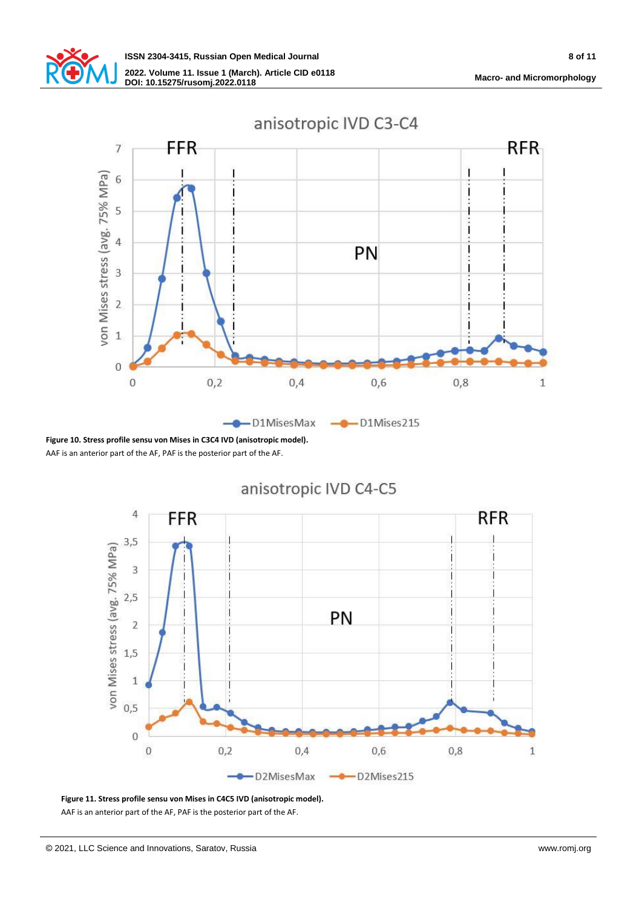



**Figure 10. Stress profile sensu von Mises in C3C4 IVD (anisotropic model).** AAF is an anterior part of the AF, PAF is the posterior part of the AF.





**Figure 11. Stress profile sensu von Mises in C4C5 IVD (anisotropic model).**

AAF is an anterior part of the AF, PAF is the posterior part of the AF.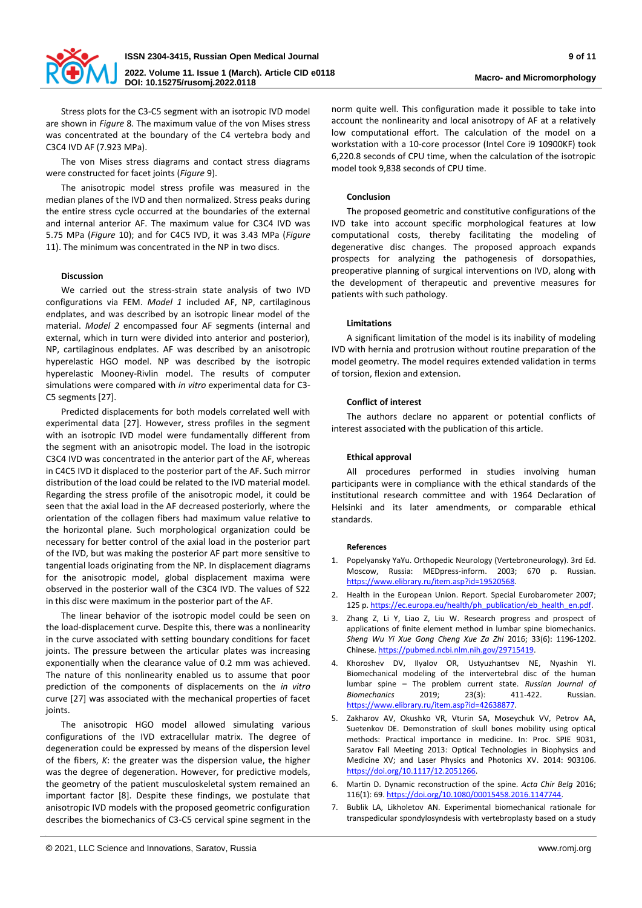

Stress plots for the C3-C5 segment with an isotropic IVD model are shown in *Figure* 8. The maximum value of the von Mises stress was concentrated at the boundary of the C4 vertebra body and C3C4 IVD AF (7.923 MPa).

The von Mises stress diagrams and contact stress diagrams were constructed for facet joints (*Figure* 9).

The anisotropic model stress profile was measured in the median planes of the IVD and then normalized. Stress peaks during the entire stress cycle occurred at the boundaries of the external and internal anterior AF. The maximum value for C3C4 IVD was 5.75 MPa (*Figure* 10); and for C4C5 IVD, it was 3.43 MPa (*Figure*  11). The minimum was concentrated in the NP in two discs.

# **Discussion**

We carried out the stress-strain state analysis of two IVD configurations via FEM. *Model 1* included AF, NP, cartilaginous endplates, and was described by an isotropic linear model of the material. *Model 2* encompassed four AF segments (internal and external, which in turn were divided into anterior and posterior), NP, cartilaginous endplates. AF was described by an anisotropic hyperelastic HGO model. NP was described by the isotropic hyperelastic Mooney-Rivlin model. The results of computer simulations were compared with *in vitro* experimental data for C3- C5 segments [27].

Predicted displacements for both models correlated well with experimental data [27]. However, stress profiles in the segment with an isotropic IVD model were fundamentally different from the segment with an anisotropic model. The load in the isotropic C3C4 IVD was concentrated in the anterior part of the AF, whereas in C4C5 IVD it displaced to the posterior part of the AF. Such mirror distribution of the load could be related to the IVD material model. Regarding the stress profile of the anisotropic model, it could be seen that the axial load in the AF decreased posteriorly, where the orientation of the collagen fibers had maximum value relative to the horizontal plane. Such morphological organization could be necessary for better control of the axial load in the posterior part of the IVD, but was making the posterior AF part more sensitive to tangential loads originating from the NP. In displacement diagrams for the anisotropic model, global displacement maxima were observed in the posterior wall of the C3C4 IVD. The values of S22 in this disc were maximum in the posterior part of the AF.

The linear behavior of the isotropic model could be seen on the load-displacement curve. Despite this, there was a nonlinearity in the curve associated with setting boundary conditions for facet joints. The pressure between the articular plates was increasing exponentially when the clearance value of 0.2 mm was achieved. The nature of this nonlinearity enabled us to assume that poor prediction of the components of displacements on the *in vitro* curve [27] was associated with the mechanical properties of facet ioints.

The anisotropic HGO model allowed simulating various configurations of the IVD extracellular matrix. The degree of degeneration could be expressed by means of the dispersion level of the fibers, *K*: the greater was the dispersion value, the higher was the degree of degeneration. However, for predictive models, the geometry of the patient musculoskeletal system remained an important factor [8]. Despite these findings, we postulate that anisotropic IVD models with the proposed geometric configuration describes the biomechanics of C3-C5 cervical spine segment in the

norm quite well. This configuration made it possible to take into account the nonlinearity and local anisotropy of AF at a relatively low computational effort. The calculation of the model on a workstation with a 10-core processor (Intel Core i9 10900KF) took 6,220.8 seconds of CPU time, when the calculation of the isotropic model took 9,838 seconds of CPU time.

# **Conclusion**

The proposed geometric and constitutive configurations of the IVD take into account specific morphological features at low computational costs, thereby facilitating the modeling of degenerative disc changes. The proposed approach expands prospects for analyzing the pathogenesis of dorsopathies, preoperative planning of surgical interventions on IVD, along with the development of therapeutic and preventive measures for patients with such pathology.

# **Limitations**

A significant limitation of the model is its inability of modeling IVD with hernia and protrusion without routine preparation of the model geometry. The model requires extended validation in terms of torsion, flexion and extension.

# **Conflict of interest**

The authors declare no apparent or potential conflicts of interest associated with the publication of this article.

# **Ethical approval**

All procedures performed in studies involving human participants were in compliance with the ethical standards of the institutional research committee and with 1964 Declaration of Helsinki and its later amendments, or comparable ethical standards.

# **References**

- 1. Popelyansky YaYu. Orthopedic Neurology (Vertebroneurology). 3rd Ed. Moscow, Russia: MEDpress-inform. 2003; 670 p. Russian. [https://www.elibrary.ru/item.asp?id=19520568.](https://www.elibrary.ru/item.asp?id=19520568)
- 2. Health in the European Union. Report. Special Eurobarometer 2007; 125 p. https://ec.europa.eu/health/ph\_publication/eb\_health\_en.pdf.
- 3. Zhang Z, Li Y, Liao Z, Liu W. Research progress and prospect of applications of finite element method in lumbar spine biomechanics. *Sheng Wu Yi Xue Gong Cheng Xue Za Zhi* 2016; 33(6): 1196-1202. Chinese[. https://pubmed.ncbi.nlm.nih.gov/29715419.](https://pubmed.ncbi.nlm.nih.gov/29715419)
- 4. Khoroshev DV, Ilyalov OR, Ustyuzhantsev NE, Nyashin YI. Biomechanical modeling of the intervertebral disc of the human lumbar spine – The problem current state. *Russian Journal of Biomechanics* 2019; 23(3): 411-422. Russian. [https://www.elibrary.ru/item.asp?id=42638877.](https://www.elibrary.ru/item.asp?id=42638877)
- 5. Zakharov AV, Okushko VR, Vturin SA, Moseychuk VV, Petrov AA, Suetenkov DE. Demonstration of skull bones mobility using optical methods: Practical importance in medicine. In: Proc. SPIE 9031, Saratov Fall Meeting 2013: Optical Technologies in Biophysics and Medicine XV; and Laser Physics and Photonics XV. 2014: 903106. [https://doi.org/10.1117/12.2051266.](https://doi.org/10.1117/12.2051266)
- 6. Martin D. Dynamic reconstruction of the spine. *Acta Chir Belg* 2016; 116(1): 69[. https://doi.org/10.1080/00015458.2016.1147744.](https://doi.org/10.1080/00015458.2016.1147744)
- 7. Bublik LA, Likholetov AN. Experimental biomechanical rationale for transpedicular spondylosyndesis with vertebroplasty based on a study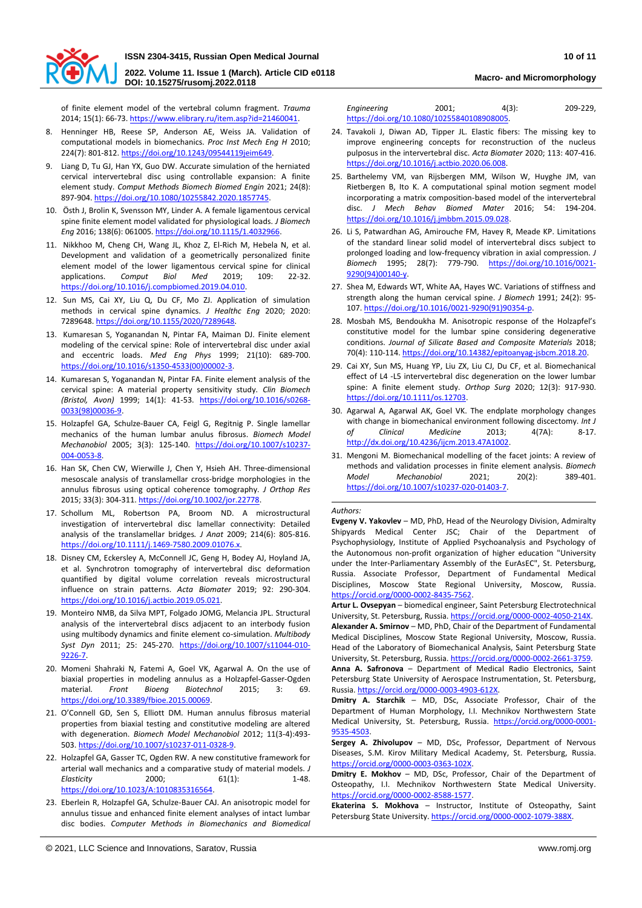

**2022. Volume 11. Issue 1 (March). Article CID e0118 DOI: 10.15275/rusomj.2022.0118 Macro- and Micromorphology**

of finite element model of the vertebral column fragment. *Trauma*  2014; 15(1): 66-73[. https://www.elibrary.ru/item.asp?id=21460041.](https://www.elibrary.ru/item.asp?id=21460041)

- Henninger HB, Reese SP, Anderson AE, Weiss JA. Validation of computational models in biomechanics. *Proc Inst Mech Eng H* 2010; 224(7): 801-812[. https://doi.org/10.1243/09544119jeim649.](https://doi.org/10.1243/09544119jeim649)
- 9. Liang D, Tu GJ, Han YX, Guo DW. Accurate simulation of the herniated cervical intervertebral disc using controllable expansion: A finite element study. *Comput Methods Biomech Biomed Engin* 2021; 24(8): 897-904[. https://doi.org/10.1080/10255842.2020.1857745.](https://doi.org/10.1080/10255842.2020.1857745)
- 10. Östh J, Brolin K, Svensson MY, Linder A. A female ligamentous cervical spine finite element model validated for physiological loads. *J Biomech Eng* 2016; 138(6): 061005[. https://doi.org/10.1115/1.4032966.](https://doi.org/10.1115/1.4032966)
- 11. Nikkhoo M, Cheng CH, Wang JL, Khoz Z, El-Rich M, Hebela N, et al. Development and validation of a geometrically personalized finite element model of the lower ligamentous cervical spine for clinical applications. *Comput Biol Med* 2019; 109: 22-32. [https://doi.org/10.1016/j.compbiomed.2019.04.010.](https://doi.org/10.1016/j.compbiomed.2019.04.010)
- 12. Sun MS, Cai XY, Liu Q, Du CF, Mo ZJ. Application of simulation methods in cervical spine dynamics. *J Healthc Eng* 2020; 2020: 7289648[. https://doi.org/10.1155/2020/7289648.](https://doi.org/10.1155/2020/7289648)
- 13. Kumaresan S, Yoganandan N, Pintar FA, Maiman DJ. Finite element modeling of the cervical spine: Role of intervertebral disc under axial and eccentric loads. *Med Eng Phys* 1999; 21(10): 689-700. [https://doi.org/10.1016/s1350-4533\(00\)00002-3.](https://doi.org/10.1016/s1350-4533(00)00002-3)
- 14. Kumaresan S, Yoganandan N, Pintar FA. Finite element analysis of the cervical spine: A material property sensitivity study. *Clin Biomech (Bristol, Avon)* 1999; 14(1): 41-53. [https://doi.org/10.1016/s0268-](https://doi.org/10.1016/s0268-0033(98)00036-9) [0033\(98\)00036-9.](https://doi.org/10.1016/s0268-0033(98)00036-9)
- 15. Holzapfel GA, Schulze-Bauer CA, Feigl G, Regitnig P. Single lamellar mechanics of the human lumbar anulus fibrosus. *Biomech Model Mechanobiol* 2005; 3(3): 125-140. [https://doi.org/10.1007/s10237-](https://doi.org/10.1007/s10237-004-0053-8) [004-0053-8.](https://doi.org/10.1007/s10237-004-0053-8)
- 16. Han SK, Chen CW, Wierwille J, Chen Y, Hsieh AH. Three-dimensional mesoscale analysis of translamellar cross-bridge morphologies in the annulus fibrosus using optical coherence tomography. *J Orthop Res* 2015; 33(3): 304-311[. https://doi.org/10.1002/jor.22778.](https://doi.org/10.1002/jor.22778)
- 17. Schollum ML, Robertson PA, Broom ND. A microstructural investigation of intervertebral disc lamellar connectivity: Detailed analysis of the translamellar bridges*. J Anat* 2009; 214(6): 805-816. [https://doi.org/10.1111/j.1469-7580.2009.01076.x.](https://doi.org/10.1111/j.1469-7580.2009.01076.x)
- 18. Disney CM, Eckersley A, McConnell JC, Geng H, Bodey AJ, Hoyland JA, et al. Synchrotron tomography of intervertebral disc deformation quantified by digital volume correlation reveals microstructural influence on strain patterns. *Acta Biomater* 2019; 92: 290-304. [https://doi.org/10.1016/j.actbio.2019.05.021.](https://doi.org/10.1016/j.actbio.2019.05.021)
- 19. Monteiro NMB, da Silva MPT, Folgado JOMG, Melancia JPL. Structural analysis of the intervertebral discs adjacent to an interbody fusion using multibody dynamics and finite element co-simulation. *Multibody Syst Dyn* 2011; 25: 245-270. [https://doi.org/10.1007/s11044-010-](https://doi.org/10.1007/s11044-010-9226-7) [9226-7.](https://doi.org/10.1007/s11044-010-9226-7)
- 20. Momeni Shahraki N, Fatemi A, Goel VK, Agarwal A. On the use of biaxial properties in modeling annulus as a Holzapfel-Gasser-Ogden<br>material. Front Bioeng Biotechnol 2015; 3: 69. material. *Front Bioeng Biotechnol* 2015; 3: 69. [https://doi.org/10.3389/fbioe.2015.00069.](https://doi.org/10.3389/fbioe.2015.00069)
- 21. O'Connell GD, Sen S, Elliott DM. Human annulus fibrosus material properties from biaxial testing and constitutive modeling are altered with degeneration. *Biomech Model Mechanobiol* 2012; 11(3-4):493- 503[. https://doi.org/10.1007/s10237-011-0328-9.](https://doi.org/10.1007/s10237-011-0328-9)
- 22. Holzapfel GA, Gasser TC, Ogden RW. A new constitutive framework for arterial wall mechanics and a comparative study of material models. *J Elasticity* 2000; 61(1): 1-48. [https://doi.org/10.1023/A:1010835316564.](https://doi.org/10.1023/A:1010835316564)
- 23. Eberlein R, Holzapfel GA, Schulze-Bauer CAJ. An anisotropic model for annulus tissue and enhanced finite element analyses of intact lumbar disc bodies. *Computer Methods in Biomechanics and Biomedical*

*Engineering* 2001; 4(3): 209-229, [https://doi.org/10.1080/10255840108908005.](https://doi.org/10.1080/10255840108908005) 

- 24. Tavakoli J, Diwan AD, Tipper JL. Elastic fibers: The missing key to improve engineering concepts for reconstruction of the nucleus pulposus in the intervertebral disc. *Acta Biomater* 2020; 113: 407-416. [https://doi.org/10.1016/j.actbio.2020.06.008.](https://doi.org/10.1016/j.actbio.2020.06.008)
- 25. Barthelemy VM, van Rijsbergen MM, Wilson W, Huyghe JM, van Rietbergen B, Ito K. A computational spinal motion segment model incorporating a matrix composition-based model of the intervertebral disc. *J Mech Behav Biomed Mater* 2016; 54: 194-204. [https://doi.org/10.1016/j.jmbbm.2015.09.028.](https://doi.org/10.1016/j.jmbbm.2015.09.028)
- 26. Li S, Patwardhan AG, Amirouche FM, Havey R, Meade KP. Limitations of the standard linear solid model of intervertebral discs subject to prolonged loading and low-frequency vibration in axial compression. *J Biomech* 1995; 28(7): 779-790. [https://doi.org/10.1016/0021-](https://doi.org/10.1016/0021-9290(94)00140-y) [9290\(94\)00140-y.](https://doi.org/10.1016/0021-9290(94)00140-y)
- 27. Shea M, Edwards WT, White AA, Hayes WC. Variations of stiffness and strength along the human cervical spine. *J Biomech* 1991; 24(2): 95- 107[. https://doi.org/10.1016/0021-9290\(91\)90354-p.](https://doi.org/10.1016/0021-9290(91)90354-p)
- 28. Mosbah MS, Bendoukha M. Anisotropic response of the Holzapfel's constitutive model for the lumbar spine considering degenerative conditions. *Journal of Silicate Based and Composite Materials* 2018; 70(4): 110-114[. https://doi.org/10.14382/epitoanyag-jsbcm.2018.20.](https://doi.org/10.14382/epitoanyag-jsbcm.2018.20)
- 29. Cai XY, Sun MS, Huang YP, Liu ZX, Liu CJ, Du CF, et al. Biomechanical effect of L4 -L5 intervertebral disc degeneration on the lower lumbar spine: A finite element study. *Orthop Surg* 2020; 12(3): 917-930. [https://doi.org/10.1111/os.12703.](https://doi.org/10.1111/os.12703)
- 30. Agarwal A, Agarwal AK, Goel VK. The endplate morphology changes with change in biomechanical environment following discectomy. *Int J* of Clinical Medicine 2013; 4(7A): 8-17. *of Clinical Medicine* 2013; 4(7A): 8-17. [http://dx.doi.org/10.4236/ijcm.2013.47A1002.](http://dx.doi.org/10.4236/ijcm.2013.47A1002)
- 31. Mengoni M. Biomechanical modelling of the facet joints: A review of methods and validation processes in finite element analysis. *Biomech Model Mechanobiol* 2021; 20(2): 389-401. [https://doi.org/10.1007/s10237-020-01403-7.](https://doi.org/10.1007/s10237-020-01403-7)

#### *Authors:*

**Evgeny V. Yakovlev** – MD, PhD, Head of the Neurology Division, Admiralty Shipyards Medical Center JSC; Chair of the Department of Psychophysiology, Institute of Applied Psychoanalysis and Psychology of the Autonomous non-profit organization of higher education "University under the Inter-Parliamentary Assembly of the EurAsEC", St. Petersburg, Russia. Associate Professor, Department of Fundamental Medical Disciplines, Moscow State Regional University, Moscow, Russia. [https://orcid.org/0000-0002-8435-7562.](https://orcid.org/0000-0002-8435-7562)

**Artur L. Ovsepyan** – biomedical engineer, Saint Petersburg Electrotechnical University, St. Petersburg, Russia. https://orcid.org/0000-0002-4050-214X.

**Alexander A. Smirnov** – MD, PhD, Chair of the Department of Fundamental Medical Disciplines, Moscow State Regional University, Moscow, Russia. Head of the Laboratory of Biomechanical Analysis, Saint Petersburg State University, St. Petersburg, Russia[. https://orcid.org/0000-0002-2661-3759.](https://orcid.org/0000-0002-2661-3759)

**Anna A. Safronova** – Department of Medical Radio Electronics, Saint Petersburg State University of Aerospace Instrumentation, St. Petersburg, Russia. [https://orcid.org/0000-0003-4903-612X.](https://orcid.org/0000-0003-4903-612X)

**Dmitry A. Starchik** – MD, DSc, Associate Professor, Chair of the Department of Human Morphology, I.I. Mechnikov Northwestern State Medical University, St. Petersburg, Russia. [https://orcid.org/0000-0001-](https://orcid.org/0000-0001-9535-4503) [9535-4503.](https://orcid.org/0000-0001-9535-4503)

**Sergey A. Zhivolupov** – MD, DSc, Professor, Department of Nervous Diseases, S.M. Kirov Military Medical Academy, St. Petersburg, Russia. [https://orcid.org/0000-0003-0363-102X.](https://orcid.org/0000-0003-0363-102X) 

**Dmitry E. Mokhov** – MD, DSc, Professor, Chair of the Department of Osteopathy, I.I. Mechnikov Northwestern State Medical University. [https://orcid.org/0000-0002-8588-1577.](https://orcid.org/0000-0002-8588-1577)

**Ekaterina S. Mokhova** – Instructor, Institute of Osteopathy, Saint Petersburg State University. https://orcid.org/0000-0002-1079-388X